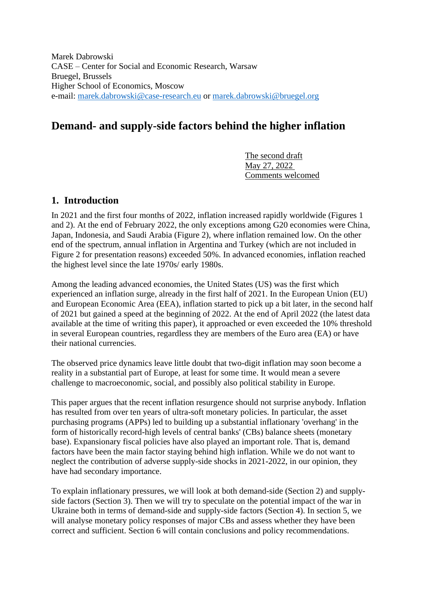Marek Dabrowski CASE – Center for Social and Economic Research, Warsaw Bruegel, Brussels Higher School of Economics, Moscow e-mail: [marek.dabrowski@case-research.eu](mailto:marek.dabrowski@case-research.eu) or [marek.dabrowski@bruegel.org](mailto:marek.dabrowski@bruegel.org)

# **Demand- and supply-side factors behind the higher inflation**

The second draft May 27, 2022 Comments welcomed

# **1. Introduction**

In 2021 and the first four months of 2022, inflation increased rapidly worldwide (Figures 1 and 2). At the end of February 2022, the only exceptions among G20 economies were China, Japan, Indonesia, and Saudi Arabia (Figure 2), where inflation remained low. On the other end of the spectrum, annual inflation in Argentina and Turkey (which are not included in Figure 2 for presentation reasons) exceeded 50%. In advanced economies, inflation reached the highest level since the late 1970s/ early 1980s.

Among the leading advanced economies, the United States (US) was the first which experienced an inflation surge, already in the first half of 2021. In the European Union (EU) and European Economic Area (EEA), inflation started to pick up a bit later, in the second half of 2021 but gained a speed at the beginning of 2022. At the end of April 2022 (the latest data available at the time of writing this paper), it approached or even exceeded the 10% threshold in several European countries, regardless they are members of the Euro area (EA) or have their national currencies.

The observed price dynamics leave little doubt that two-digit inflation may soon become a reality in a substantial part of Europe, at least for some time. It would mean a severe challenge to macroeconomic, social, and possibly also political stability in Europe.

This paper argues that the recent inflation resurgence should not surprise anybody. Inflation has resulted from over ten years of ultra-soft monetary policies. In particular, the asset purchasing programs (APPs) led to building up a substantial inflationary 'overhang' in the form of historically record-high levels of central banks' (CBs) balance sheets (monetary base). Expansionary fiscal policies have also played an important role. That is, demand factors have been the main factor staying behind high inflation. While we do not want to neglect the contribution of adverse supply-side shocks in 2021-2022, in our opinion, they have had secondary importance.

To explain inflationary pressures, we will look at both demand-side (Section 2) and supplyside factors (Section 3). Then we will try to speculate on the potential impact of the war in Ukraine both in terms of demand-side and supply-side factors (Section 4). In section 5, we will analyse monetary policy responses of major CBs and assess whether they have been correct and sufficient. Section 6 will contain conclusions and policy recommendations.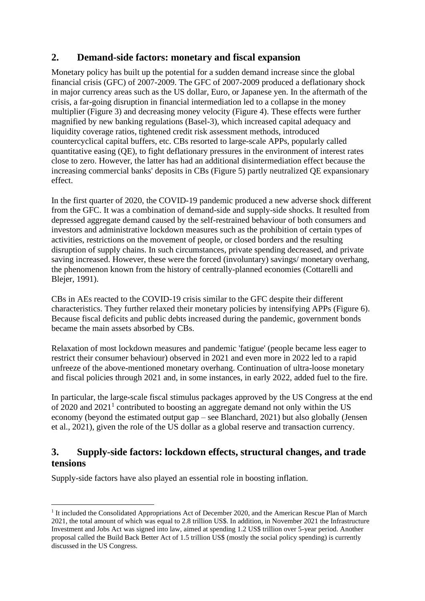# **2. Demand-side factors: monetary and fiscal expansion**

Monetary policy has built up the potential for a sudden demand increase since the global financial crisis (GFC) of 2007-2009. The GFC of 2007-2009 produced a deflationary shock in major currency areas such as the US dollar, Euro, or Japanese yen. In the aftermath of the crisis, a far-going disruption in financial intermediation led to a collapse in the money multiplier (Figure 3) and decreasing money velocity (Figure 4). These effects were further magnified by new banking regulations (Basel-3), which increased capital adequacy and liquidity coverage ratios, tightened credit risk assessment methods, introduced countercyclical capital buffers, etc. CBs resorted to large-scale APPs, popularly called quantitative easing (QE), to fight deflationary pressures in the environment of interest rates close to zero. However, the latter has had an additional disintermediation effect because the increasing commercial banks' deposits in CBs (Figure 5) partly neutralized QE expansionary effect.

In the first quarter of 2020, the COVID-19 pandemic produced a new adverse shock different from the GFC. It was a combination of demand-side and supply-side shocks. It resulted from depressed aggregate demand caused by the self-restrained behaviour of both consumers and investors and administrative lockdown measures such as the prohibition of certain types of activities, restrictions on the movement of people, or closed borders and the resulting disruption of supply chains. In such circumstances, private spending decreased, and private saving increased. However, these were the forced (involuntary) savings/ monetary overhang, the phenomenon known from the history of centrally-planned economies (Cottarelli and Blejer, 1991).

CBs in AEs reacted to the COVID-19 crisis similar to the GFC despite their different characteristics. They further relaxed their monetary policies by intensifying APPs (Figure 6). Because fiscal deficits and public debts increased during the pandemic, government bonds became the main assets absorbed by CBs.

Relaxation of most lockdown measures and pandemic 'fatigue' (people became less eager to restrict their consumer behaviour) observed in 2021 and even more in 2022 led to a rapid unfreeze of the above-mentioned monetary overhang. Continuation of ultra-loose monetary and fiscal policies through 2021 and, in some instances, in early 2022, added fuel to the fire.

In particular, the large-scale fiscal stimulus packages approved by the US Congress at the end of 2020 and  $2021<sup>1</sup>$  contributed to boosting an aggregate demand not only within the US economy (beyond the estimated output gap – see Blanchard, 2021) but also globally (Jensen et al., 2021), given the role of the US dollar as a global reserve and transaction currency.

# **3. Supply-side factors: lockdown effects, structural changes, and trade tensions**

Supply-side factors have also played an essential role in boosting inflation.

<sup>&</sup>lt;sup>1</sup> It included the Consolidated Appropriations Act of December 2020, and the American Rescue Plan of March 2021, the total amount of which was equal to 2.8 trillion US\$. In addition, in November 2021 the Infrastructure Investment and Jobs Act was signed into law, aimed at spending 1.2 US\$ trillion over 5-year period. Another proposal called the Build Back Better Act of 1.5 trillion US\$ (mostly the social policy spending) is currently discussed in the US Congress.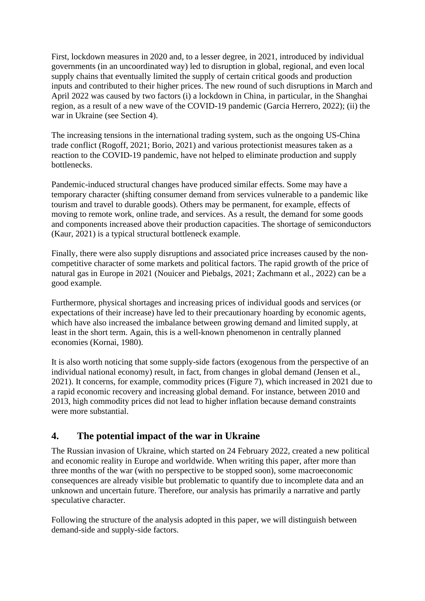First, lockdown measures in 2020 and, to a lesser degree, in 2021, introduced by individual governments (in an uncoordinated way) led to disruption in global, regional, and even local supply chains that eventually limited the supply of certain critical goods and production inputs and contributed to their higher prices. The new round of such disruptions in March and April 2022 was caused by two factors (i) a lockdown in China, in particular, in the Shanghai region, as a result of a new wave of the COVID-19 pandemic (Garcia Herrero, 2022); (ii) the war in Ukraine (see Section 4).

The increasing tensions in the international trading system, such as the ongoing US-China trade conflict (Rogoff, 2021; Borio, 2021) and various protectionist measures taken as a reaction to the COVID-19 pandemic, have not helped to eliminate production and supply bottlenecks.

Pandemic-induced structural changes have produced similar effects. Some may have a temporary character (shifting consumer demand from services vulnerable to a pandemic like tourism and travel to durable goods). Others may be permanent, for example, effects of moving to remote work, online trade, and services. As a result, the demand for some goods and components increased above their production capacities. The shortage of semiconductors (Kaur, 2021) is a typical structural bottleneck example.

Finally, there were also supply disruptions and associated price increases caused by the noncompetitive character of some markets and political factors. The rapid growth of the price of natural gas in Europe in 2021 (Nouicer and Piebalgs, 2021; Zachmann et al., 2022) can be a good example.

Furthermore, physical shortages and increasing prices of individual goods and services (or expectations of their increase) have led to their precautionary hoarding by economic agents, which have also increased the imbalance between growing demand and limited supply, at least in the short term. Again, this is a well-known phenomenon in centrally planned economies (Kornai, 1980).

It is also worth noticing that some supply-side factors (exogenous from the perspective of an individual national economy) result, in fact, from changes in global demand (Jensen et al., 2021). It concerns, for example, commodity prices (Figure 7), which increased in 2021 due to a rapid economic recovery and increasing global demand. For instance, between 2010 and 2013, high commodity prices did not lead to higher inflation because demand constraints were more substantial.

# **4. The potential impact of the war in Ukraine**

The Russian invasion of Ukraine, which started on 24 February 2022, created a new political and economic reality in Europe and worldwide. When writing this paper, after more than three months of the war (with no perspective to be stopped soon), some macroeconomic consequences are already visible but problematic to quantify due to incomplete data and an unknown and uncertain future. Therefore, our analysis has primarily a narrative and partly speculative character.

Following the structure of the analysis adopted in this paper, we will distinguish between demand-side and supply-side factors.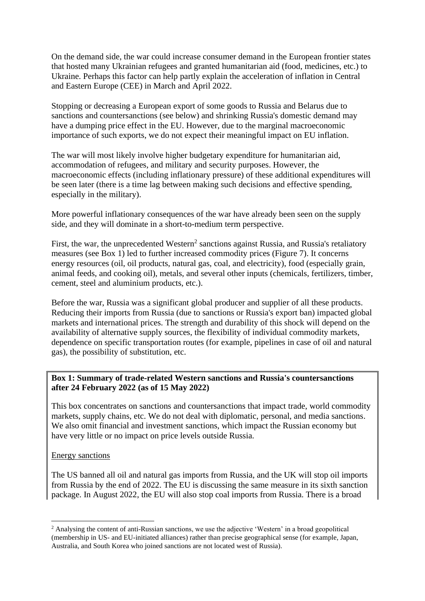On the demand side, the war could increase consumer demand in the European frontier states that hosted many Ukrainian refugees and granted humanitarian aid (food, medicines, etc.) to Ukraine. Perhaps this factor can help partly explain the acceleration of inflation in Central and Eastern Europe (CEE) in March and April 2022.

Stopping or decreasing a European export of some goods to Russia and Belarus due to sanctions and countersanctions (see below) and shrinking Russia's domestic demand may have a dumping price effect in the EU. However, due to the marginal macroeconomic importance of such exports, we do not expect their meaningful impact on EU inflation.

The war will most likely involve higher budgetary expenditure for humanitarian aid, accommodation of refugees, and military and security purposes. However, the macroeconomic effects (including inflationary pressure) of these additional expenditures will be seen later (there is a time lag between making such decisions and effective spending, especially in the military).

More powerful inflationary consequences of the war have already been seen on the supply side, and they will dominate in a short-to-medium term perspective.

First, the war, the unprecedented Western<sup>2</sup> sanctions against Russia, and Russia's retaliatory measures (see Box 1) led to further increased commodity prices (Figure 7). It concerns energy resources (oil, oil products, natural gas, coal, and electricity), food (especially grain, animal feeds, and cooking oil), metals, and several other inputs (chemicals, fertilizers, timber, cement, steel and aluminium products, etc.).

Before the war, Russia was a significant global producer and supplier of all these products. Reducing their imports from Russia (due to sanctions or Russia's export ban) impacted global markets and international prices. The strength and durability of this shock will depend on the availability of alternative supply sources, the flexibility of individual commodity markets, dependence on specific transportation routes (for example, pipelines in case of oil and natural gas), the possibility of substitution, etc.

#### **Box 1: Summary of trade-related Western sanctions and Russia's countersanctions after 24 February 2022 (as of 15 May 2022)**

This box concentrates on sanctions and countersanctions that impact trade, world commodity markets, supply chains, etc. We do not deal with diplomatic, personal, and media sanctions. We also omit financial and investment sanctions, which impact the Russian economy but have very little or no impact on price levels outside Russia.

#### Energy sanctions

The US banned all oil and natural gas imports from Russia, and the UK will stop oil imports from Russia by the end of 2022. The EU is discussing the same measure in its sixth sanction package. In August 2022, the EU will also stop coal imports from Russia. There is a broad

<sup>2</sup> Analysing the content of anti-Russian sanctions, we use the adjective 'Western' in a broad geopolitical (membership in US- and EU-initiated alliances) rather than precise geographical sense (for example, Japan, Australia, and South Korea who joined sanctions are not located west of Russia).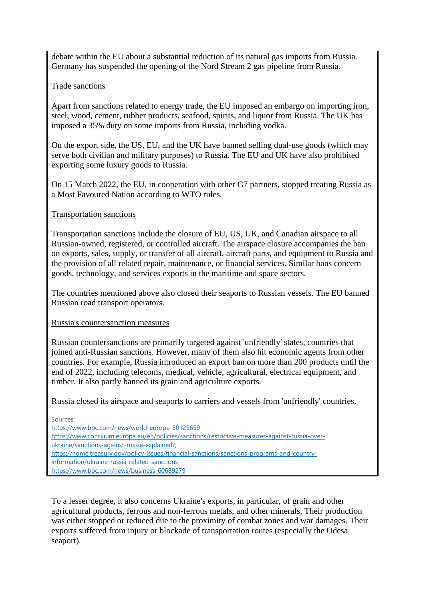debate within the EU about a substantial reduction of its natural gas imports from Russia. Germany has suspended the opening of the Nord Stream 2 gas pipeline from Russia.

### Trade sanctions

Apart from sanctions related to energy trade, the EU imposed an embargo on importing iron, steel, wood, cement, rubber products, seafood, spirits, and liquor from Russia. The UK has imposed a 35% duty on some imports from Russia, including vodka.

On the export side, the US, EU, and the UK have banned selling dual-use goods (which may serve both civilian and military purposes) to Russia. The EU and UK have also prohibited exporting some luxury goods to Russia.

On 15 March 2022, the EU, in cooperation with other G7 partners, stopped treating Russia as a Most Favoured Nation according to WTO rules.

### Transportation sanctions

Transportation sanctions include the closure of EU, US, UK, and Canadian airspace to all Russian-owned, registered, or controlled aircraft. The airspace closure accompanies the ban on exports, sales, supply, or transfer of all aircraft, aircraft parts, and equipment to Russia and the provision of all related repair, maintenance, or financial services. Similar bans concern goods, technology, and services exports in the maritime and space sectors.

The countries mentioned above also closed their seaports to Russian vessels. The EU banned Russian road transport operators.

### Russia's countersanction measures

Russian countersanctions are primarily targeted against 'unfriendly' states, countries that joined anti-Russian sanctions. However, many of them also hit economic agents from other countries. For example, Russia introduced an export ban on more than 200 products until the end of 2022, including telecoms, medical, vehicle, agricultural, electrical equipment, and timber. It also partly banned its grain and agriculture exports.

Russia closed its airspace and seaports to carriers and vessels from 'unfriendly' countries.

Sources:

<https://www.bbc.com/news/world-europe-60125659> [https://www.consilium.europa.eu/en/policies/sanctions/restrictive-measures-against-russia-over](https://www.consilium.europa.eu/en/policies/sanctions/restrictive-measures-against-russia-over-ukraine/sanctions-against-russia-explained/)[ukraine/sanctions-against-russia-explained/,](https://www.consilium.europa.eu/en/policies/sanctions/restrictive-measures-against-russia-over-ukraine/sanctions-against-russia-explained/)  [https://home.treasury.gov/policy-issues/financial-sanctions/sanctions-programs-and-country](https://home.treasury.gov/policy-issues/financial-sanctions/sanctions-programs-and-country-information/ukraine-russia-related-sanctions)[information/ukraine-russia-related-sanctions](https://home.treasury.gov/policy-issues/financial-sanctions/sanctions-programs-and-country-information/ukraine-russia-related-sanctions) <https://www.bbc.com/news/business-60689279>

To a lesser degree, it also concerns Ukraine's exports, in particular, of grain and other agricultural products, ferrous and non-ferrous metals, and other minerals. Their production was either stopped or reduced due to the proximity of combat zones and war damages. Their exports suffered from injury or blockade of transportation routes (especially the Odesa seaport).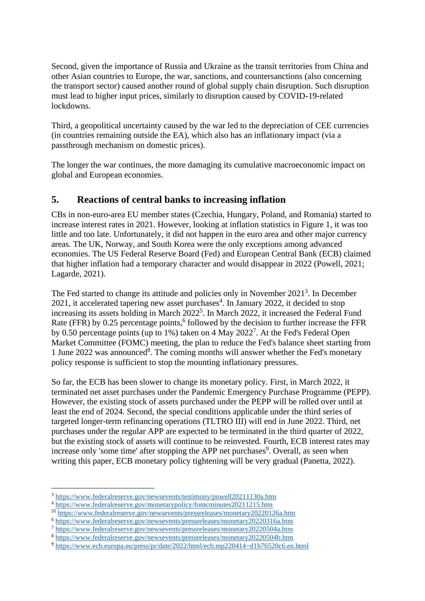Second, given the importance of Russia and Ukraine as the transit territories from China and other Asian countries to Europe, the war, sanctions, and countersanctions (also concerning the transport sector) caused another round of global supply chain disruption. Such disruption must lead to higher input prices, similarly to disruption caused by COVID-19-related lockdowns.

Third, a geopolitical uncertainty caused by the war led to the depreciation of CEE currencies (in countries remaining outside the EA), which also has an inflationary impact (via a passthrough mechanism on domestic prices).

The longer the war continues, the more damaging its cumulative macroeconomic impact on global and European economies.

### **5. Reactions of central banks to increasing inflation**

CBs in non-euro-area EU member states (Czechia, Hungary, Poland, and Romania) started to increase interest rates in 2021. However, looking at inflation statistics in Figure 1, it was too little and too late. Unfortunately, it did not happen in the euro area and other major currency areas. The UK, Norway, and South Korea were the only exceptions among advanced economies. The US Federal Reserve Board (Fed) and European Central Bank (ECB) claimed that higher inflation had a temporary character and would disappear in 2022 (Powell, 2021; Lagarde, 2021).

The Fed started to change its attitude and policies only in November 2021<sup>3</sup>. In December  $2021$ , it accelerated tapering new asset purchases<sup>4</sup>. In January 2022, it decided to stop increasing its assets holding in March 2022<sup>5</sup>. In March 2022, it increased the Federal Fund Rate (FFR) by 0.25 percentage points,<sup>6</sup> followed by the decision to further increase the FFR by 0.50 percentage points (up to 1%) taken on 4 May 2022<sup>7</sup>. At the Fed's Federal Open Market Committee (FOMC) meeting, the plan to reduce the Fed's balance sheet starting from 1 June 2022 was announced<sup>8</sup>. The coming months will answer whether the Fed's monetary policy response is sufficient to stop the mounting inflationary pressures.

So far, the ECB has been slower to change its monetary policy. First, in March 2022, it terminated net asset purchases under the Pandemic Emergency Purchase Programme (PEPP). However, the existing stock of assets purchased under the PEPP will be rolled over until at least the end of 2024. Second, the special conditions applicable under the third series of targeted longer-term refinancing operations (TLTRO III) will end in June 2022. Third, net purchases under the regular APP are expected to be terminated in the third quarter of 2022, but the existing stock of assets will continue to be reinvested. Fourth, ECB interest rates may increase only 'some time' after stopping the APP net purchases<sup>9</sup>. Overall, as seen when writing this paper, ECB monetary policy tightening will be very gradual (Panetta, 2022).

<sup>3</sup> <https://www.federalreserve.gov/newsevents/testimony/powell20211130a.htm>

<sup>4</sup> <https://www.federalreserve.gov/monetarypolicy/fomcminutes20211215.htm>

<sup>55</sup> <https://www.federalreserve.gov/newsevents/pressreleases/monetary20220126a.htm>

<sup>6</sup> <https://www.federalreserve.gov/newsevents/pressreleases/monetary20220316a.htm>

<sup>7</sup> <https://www.federalreserve.gov/newsevents/pressreleases/monetary20220504a.htm>

<sup>8</sup> <https://www.federalreserve.gov/newsevents/pressreleases/monetary20220504b.htm>

<sup>9</sup> <https://www.ecb.europa.eu/press/pr/date/2022/html/ecb.mp220414~d1b76520c6.en.html>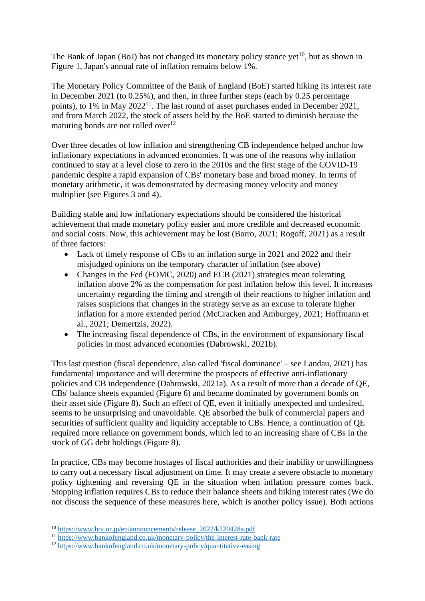The Bank of Japan (BoJ) has not changed its monetary policy stance yet<sup>10</sup>, but as shown in Figure 1, Japan's annual rate of inflation remains below 1%.

The Monetary Policy Committee of the Bank of England (BoE) started hiking its interest rate in December 2021 (to 0.25%), and then, in three further steps (each by 0.25 percentage points), to 1% in May 2022<sup>11</sup>. The last round of asset purchases ended in December 2021, and from March 2022, the stock of assets held by the BoE started to diminish because the maturing bonds are not rolled over $12$ 

Over three decades of low inflation and strengthening CB independence helped anchor low inflationary expectations in advanced economies. It was one of the reasons why inflation continued to stay at a level close to zero in the 2010s and the first stage of the COVID-19 pandemic despite a rapid expansion of CBs' monetary base and broad money. In terms of monetary arithmetic, it was demonstrated by decreasing money velocity and money multiplier (see Figures 3 and 4).

Building stable and low inflationary expectations should be considered the historical achievement that made monetary policy easier and more credible and decreased economic and social costs. Now, this achievement may be lost (Barro, 2021; Rogoff, 2021) as a result of three factors:

- Lack of timely response of CBs to an inflation surge in 2021 and 2022 and their misjudged opinions on the temporary character of inflation (see above)
- Changes in the Fed (FOMC, 2020) and ECB (2021) strategies mean tolerating inflation above 2% as the compensation for past inflation below this level. It increases uncertainty regarding the timing and strength of their reactions to higher inflation and raises suspicions that changes in the strategy serve as an excuse to tolerate higher inflation for a more extended period (McCracken and Amburgey, 2021; Hoffmann et al., 2021; Demertzis, 2022).
- The increasing fiscal dependence of CBs, in the environment of expansionary fiscal policies in most advanced economies (Dabrowski, 2021b).

This last question (fiscal dependence, also called 'fiscal dominance' – see Landau, 2021) has fundamental importance and will determine the prospects of effective anti-inflationary policies and CB independence (Dabrowski, 2021a). As a result of more than a decade of QE, CBs' balance sheets expanded (Figure 6) and became dominated by government bonds on their asset side (Figure 8). Such an effect of QE, even if initially unexpected and undesired, seems to be unsurprising and unavoidable. QE absorbed the bulk of commercial papers and securities of sufficient quality and liquidity acceptable to CBs. Hence, a continuation of QE required more reliance on government bonds, which led to an increasing share of CBs in the stock of GG debt holdings (Figure 8).

In practice, CBs may become hostages of fiscal authorities and their inability or unwillingness to carry out a necessary fiscal adjustment on time. It may create a severe obstacle to monetary policy tightening and reversing QE in the situation when inflation pressure comes back. Stopping inflation requires CBs to reduce their balance sheets and hiking interest rates (We do not discuss the sequence of these measures here, which is another policy issue). Both actions

<sup>10</sup> [https://www.boj.or.jp/en/announcements/release\\_2022/k220428a.pdf](https://www.boj.or.jp/en/announcements/release_2022/k220428a.pdf)

<sup>11</sup> <https://www.bankofengland.co.uk/monetary-policy/the-interest-rate-bank-rate>

<sup>12</sup> <https://www.bankofengland.co.uk/monetary-policy/quantitative-easing>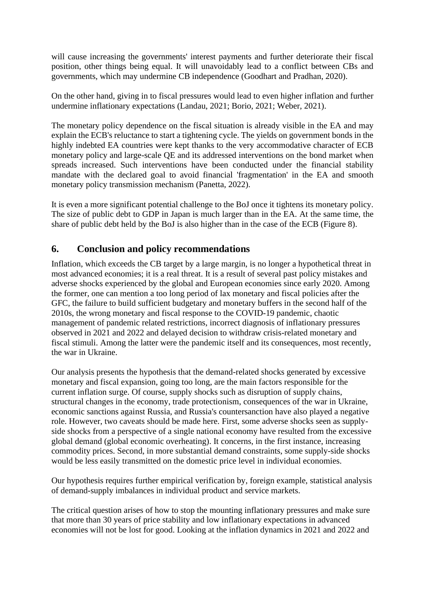will cause increasing the governments' interest payments and further deteriorate their fiscal position, other things being equal. It will unavoidably lead to a conflict between CBs and governments, which may undermine CB independence (Goodhart and Pradhan, 2020).

On the other hand, giving in to fiscal pressures would lead to even higher inflation and further undermine inflationary expectations (Landau, 2021; Borio, 2021; Weber, 2021).

The monetary policy dependence on the fiscal situation is already visible in the EA and may explain the ECB's reluctance to start a tightening cycle. The yields on government bonds in the highly indebted EA countries were kept thanks to the very accommodative character of ECB monetary policy and large-scale QE and its addressed interventions on the bond market when spreads increased. Such interventions have been conducted under the financial stability mandate with the declared goal to avoid financial 'fragmentation' in the EA and smooth monetary policy transmission mechanism (Panetta, 2022).

It is even a more significant potential challenge to the BoJ once it tightens its monetary policy. The size of public debt to GDP in Japan is much larger than in the EA. At the same time, the share of public debt held by the BoJ is also higher than in the case of the ECB (Figure 8).

### **6. Conclusion and policy recommendations**

Inflation, which exceeds the CB target by a large margin, is no longer a hypothetical threat in most advanced economies; it is a real threat. It is a result of several past policy mistakes and adverse shocks experienced by the global and European economies since early 2020. Among the former, one can mention a too long period of lax monetary and fiscal policies after the GFC, the failure to build sufficient budgetary and monetary buffers in the second half of the 2010s, the wrong monetary and fiscal response to the COVID-19 pandemic, chaotic management of pandemic related restrictions, incorrect diagnosis of inflationary pressures observed in 2021 and 2022 and delayed decision to withdraw crisis-related monetary and fiscal stimuli. Among the latter were the pandemic itself and its consequences, most recently, the war in Ukraine.

Our analysis presents the hypothesis that the demand-related shocks generated by excessive monetary and fiscal expansion, going too long, are the main factors responsible for the current inflation surge. Of course, supply shocks such as disruption of supply chains, structural changes in the economy, trade protectionism, consequences of the war in Ukraine, economic sanctions against Russia, and Russia's countersanction have also played a negative role. However, two caveats should be made here. First, some adverse shocks seen as supplyside shocks from a perspective of a single national economy have resulted from the excessive global demand (global economic overheating). It concerns, in the first instance, increasing commodity prices. Second, in more substantial demand constraints, some supply-side shocks would be less easily transmitted on the domestic price level in individual economies.

Our hypothesis requires further empirical verification by, foreign example, statistical analysis of demand-supply imbalances in individual product and service markets.

The critical question arises of how to stop the mounting inflationary pressures and make sure that more than 30 years of price stability and low inflationary expectations in advanced economies will not be lost for good. Looking at the inflation dynamics in 2021 and 2022 and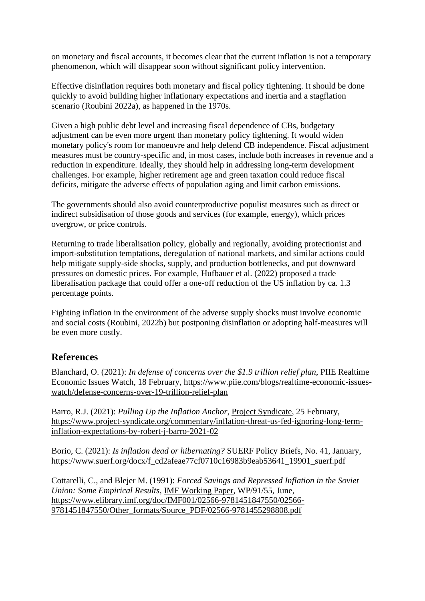on monetary and fiscal accounts, it becomes clear that the current inflation is not a temporary phenomenon, which will disappear soon without significant policy intervention.

Effective disinflation requires both monetary and fiscal policy tightening. It should be done quickly to avoid building higher inflationary expectations and inertia and a stagflation scenario (Roubini 2022a), as happened in the 1970s.

Given a high public debt level and increasing fiscal dependence of CBs, budgetary adjustment can be even more urgent than monetary policy tightening. It would widen monetary policy's room for manoeuvre and help defend CB independence. Fiscal adjustment measures must be country-specific and, in most cases, include both increases in revenue and a reduction in expenditure. Ideally, they should help in addressing long-term development challenges. For example, higher retirement age and green taxation could reduce fiscal deficits, mitigate the adverse effects of population aging and limit carbon emissions.

The governments should also avoid counterproductive populist measures such as direct or indirect subsidisation of those goods and services (for example, energy), which prices overgrow, or price controls.

Returning to trade liberalisation policy, globally and regionally, avoiding protectionist and import-substitution temptations, deregulation of national markets, and similar actions could help mitigate supply-side shocks, supply, and production bottlenecks, and put downward pressures on domestic prices. For example, Hufbauer et al. (2022) proposed a trade liberalisation package that could offer a one-off reduction of the US inflation by ca. 1.3 percentage points.

Fighting inflation in the environment of the adverse supply shocks must involve economic and social costs (Roubini, 2022b) but postponing disinflation or adopting half-measures will be even more costly.

# **References**

Blanchard, O. (2021): *In defense of concerns over the \$1.9 trillion relief plan*, PIIE Realtime Economic Issues Watch, 18 February, [https://www.piie.com/blogs/realtime-economic-issues](https://www.piie.com/blogs/realtime-economic-issues-watch/defense-concerns-over-19-trillion-relief-plan)[watch/defense-concerns-over-19-trillion-relief-plan](https://www.piie.com/blogs/realtime-economic-issues-watch/defense-concerns-over-19-trillion-relief-plan)

Barro, R.J. (2021): *Pulling Up the Inflation Anchor*, Project Syndicate, 25 February, [https://www.project-syndicate.org/commentary/inflation-threat-us-fed-ignoring-long-term](https://www.project-syndicate.org/commentary/inflation-threat-us-fed-ignoring-long-term-inflation-expectations-by-robert-j-barro-2021-02)[inflation-expectations-by-robert-j-barro-2021-02](https://www.project-syndicate.org/commentary/inflation-threat-us-fed-ignoring-long-term-inflation-expectations-by-robert-j-barro-2021-02)

Borio, C. (2021): *Is inflation dead or hibernating?* SUERF Policy Briefs, No. 41, January, [https://www.suerf.org/docx/f\\_cd2afeae77cf0710c16983b9eab53641\\_19901\\_suerf.pdf](https://www.suerf.org/docx/f_cd2afeae77cf0710c16983b9eab53641_19901_suerf.pdf)

Cottarelli, C., and Blejer M. (1991): *Forced Savings and Repressed Inflation in the Soviet Union: Some Empirical Results*, IMF Working Paper, WP/91/55, June, [https://www.elibrary.imf.org/doc/IMF001/02566-9781451847550/02566-](https://www.elibrary.imf.org/doc/IMF001/02566-9781451847550/02566-9781451847550/Other_formats/Source_PDF/02566-9781455298808.pdf) [9781451847550/Other\\_formats/Source\\_PDF/02566-9781455298808.pdf](https://www.elibrary.imf.org/doc/IMF001/02566-9781451847550/02566-9781451847550/Other_formats/Source_PDF/02566-9781455298808.pdf)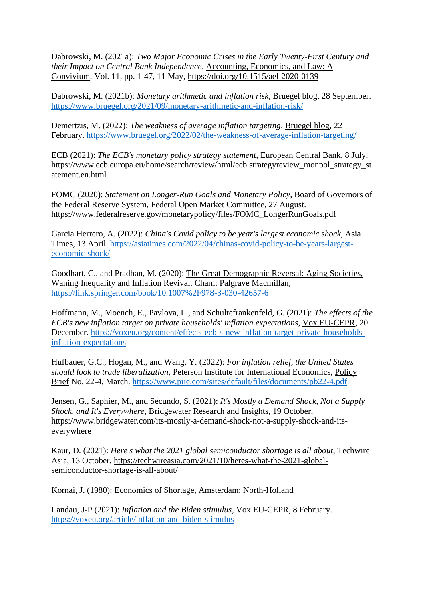Dabrowski, M. (2021a): *Two Major Economic Crises in the Early Twenty-First Century and their Impact on Central Bank Independence*, Accounting, Economics, and Law: A Convivium, Vol. 11, pp. 1-47, 11 May,<https://doi.org/10.1515/ael-2020-0139>

Dabrowski, M. (2021b): *Monetary arithmetic and inflation risk*, Bruegel blog, 28 September. <https://www.bruegel.org/2021/09/monetary-arithmetic-and-inflation-risk/>

Demertzis, M. (2022): *The weakness of average inflation targeting*, Bruegel blog, 22 February.<https://www.bruegel.org/2022/02/the-weakness-of-average-inflation-targeting/>

ECB (2021): *The ECB's monetary policy strategy statement*, European Central Bank, 8 July, [https://www.ecb.europa.eu/home/search/review/html/ecb.strategyreview\\_monpol\\_strategy\\_st](https://www.ecb.europa.eu/home/search/review/html/ecb.strategyreview_monpol_strategy_statement.en.html) [atement.en.html](https://www.ecb.europa.eu/home/search/review/html/ecb.strategyreview_monpol_strategy_statement.en.html)

FOMC (2020): *Statement on Longer-Run Goals and Monetary Policy*, Board of Governors of the Federal Reserve System, Federal Open Market Committee, 27 August. [https://www.federalreserve.gov/monetarypolicy/files/FOMC\\_LongerRunGoals.pdf](https://www.federalreserve.gov/monetarypolicy/files/FOMC_LongerRunGoals.pdf)

Garcia Herrero, A. (2022): *China's Covid policy to be year's largest economic shock*, Asia Times, 13 April. [https://asiatimes.com/2022/04/chinas-covid-policy-to-be-years-largest](https://asiatimes.com/2022/04/chinas-covid-policy-to-be-years-largest-economic-shock/)[economic-shock/](https://asiatimes.com/2022/04/chinas-covid-policy-to-be-years-largest-economic-shock/) 

Goodhart, C., and Pradhan, M. (2020): The Great Demographic Reversal: Aging Societies, Waning Inequality and Inflation Revival. Cham: Palgrave Macmillan, <https://link.springer.com/book/10.1007%2F978-3-030-42657-6>

Hoffmann, M., Moench, E., Pavlova, L., and Schultefrankenfeld, G. (2021): *The effects of the ECB's new inflation target on private households' inflation expectations*, Vox.EU-CEPR, 20 December. [https://voxeu.org/content/effects-ecb-s-new-inflation-target-private-households](https://voxeu.org/content/effects-ecb-s-new-inflation-target-private-households-inflation-expectations)[inflation-expectations](https://voxeu.org/content/effects-ecb-s-new-inflation-target-private-households-inflation-expectations)

Hufbauer, G.C., Hogan, M., and Wang, Y. (2022): *For inflation relief, the United States should look to trade liberalization*, Peterson Institute for International Economics, Policy Brief No. 22-4, March.<https://www.piie.com/sites/default/files/documents/pb22-4.pdf>

Jensen, G., Saphier, M., and Secundo, S. (2021): *It's Mostly a Demand Shock, Not a Supply Shock, and It's Everywhere*, Bridgewater Research and Insights, 19 October, [https://www.bridgewater.com/its-mostly-a-demand-shock-not-a-supply-shock-and-its](https://www.bridgewater.com/its-mostly-a-demand-shock-not-a-supply-shock-and-its-everywhere)[everywhere](https://www.bridgewater.com/its-mostly-a-demand-shock-not-a-supply-shock-and-its-everywhere)

Kaur, D. (2021): *Here's what the 2021 global semiconductor shortage is all about*, Techwire Asia, 13 October, [https://techwireasia.com/2021/10/heres-what-the-2021-global](https://techwireasia.com/2021/10/heres-what-the-2021-global-semiconductor-shortage-is-all-about/)[semiconductor-shortage-is-all-about/](https://techwireasia.com/2021/10/heres-what-the-2021-global-semiconductor-shortage-is-all-about/)

Kornai, J. (1980): Economics of Shortage, Amsterdam: North-Holland

Landau, J-P (2021): *Inflation and the Biden stimulus*, Vox.EU-CEPR, 8 February. <https://voxeu.org/article/inflation-and-biden-stimulus>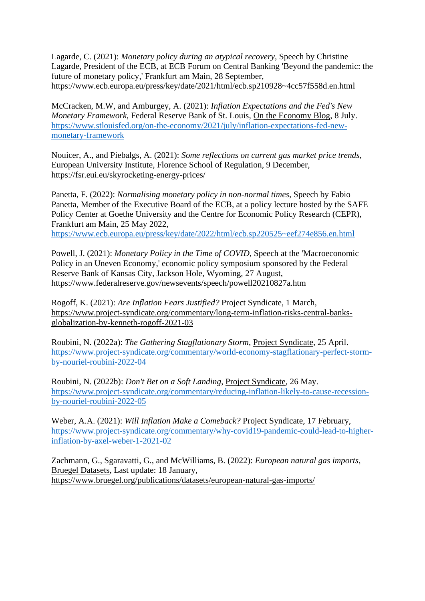Lagarde, C. (2021): *Monetary policy during an atypical recovery*, Speech by Christine Lagarde, President of the ECB, at ECB Forum on Central Banking 'Beyond the pandemic: the future of monetary policy,' Frankfurt am Main, 28 September, <https://www.ecb.europa.eu/press/key/date/2021/html/ecb.sp210928~4cc57f558d.en.html>

McCracken, M.W, and Amburgey, A. (2021): *Inflation Expectations and the Fed's New Monetary Framework*, Federal Reserve Bank of St. Louis, On the Economy Blog, 8 July. [https://www.stlouisfed.org/on-the-economy/2021/july/inflation-expectations-fed-new](https://www.stlouisfed.org/on-the-economy/2021/july/inflation-expectations-fed-new-monetary-framework)[monetary-framework](https://www.stlouisfed.org/on-the-economy/2021/july/inflation-expectations-fed-new-monetary-framework)

Nouicer, A., and Piebalgs, A. (2021): *Some reflections on current gas market price trends*, European University Institute, Florence School of Regulation, 9 December, <https://fsr.eui.eu/skyrocketing-energy-prices/>

Panetta, F. (2022): *Normalising monetary policy in non-normal times*, Speech by Fabio Panetta, Member of the Executive Board of the ECB, at a policy lecture hosted by the SAFE Policy Center at Goethe University and the Centre for Economic Policy Research (CEPR), Frankfurt am Main, 25 May 2022,

<https://www.ecb.europa.eu/press/key/date/2022/html/ecb.sp220525~eef274e856.en.html>

Powell, J. (2021): *Monetary Policy in the Time of COVID*, Speech at the 'Macroeconomic Policy in an Uneven Economy,' economic policy symposium sponsored by the Federal Reserve Bank of Kansas City, Jackson Hole, Wyoming, 27 August, <https://www.federalreserve.gov/newsevents/speech/powell20210827a.htm>

Rogoff, K. (2021): *Are Inflation Fears Justified?* Project Syndicate, 1 March, [https://www.project-syndicate.org/commentary/long-term-inflation-risks-central-banks](https://www.project-syndicate.org/commentary/long-term-inflation-risks-central-banks-globalization-by-kenneth-rogoff-2021-03)[globalization-by-kenneth-rogoff-2021-03](https://www.project-syndicate.org/commentary/long-term-inflation-risks-central-banks-globalization-by-kenneth-rogoff-2021-03)

Roubini, N. (2022a): *The Gathering Stagflationary Storm*, Project Syndicate, 25 April. [https://www.project-syndicate.org/commentary/world-economy-stagflationary-perfect-storm](https://www.project-syndicate.org/commentary/world-economy-stagflationary-perfect-storm-by-nouriel-roubini-2022-04)[by-nouriel-roubini-2022-04](https://www.project-syndicate.org/commentary/world-economy-stagflationary-perfect-storm-by-nouriel-roubini-2022-04)

Roubini, N. (2022b): *Don't Bet on a Soft Landing*, Project Syndicate, 26 May. [https://www.project-syndicate.org/commentary/reducing-inflation-likely-to-cause-recession](https://www.project-syndicate.org/commentary/reducing-inflation-likely-to-cause-recession-by-nouriel-roubini-2022-05)[by-nouriel-roubini-2022-05](https://www.project-syndicate.org/commentary/reducing-inflation-likely-to-cause-recession-by-nouriel-roubini-2022-05)

Weber, A.A. (2021): *Will Inflation Make a Comeback?* Project Syndicate, 17 February, [https://www.project-syndicate.org/commentary/why-covid19-pandemic-could-lead-to-higher](https://www.project-syndicate.org/commentary/why-covid19-pandemic-could-lead-to-higher-inflation-by-axel-weber-1-2021-02)[inflation-by-axel-weber-1-2021-02](https://www.project-syndicate.org/commentary/why-covid19-pandemic-could-lead-to-higher-inflation-by-axel-weber-1-2021-02)

Zachmann, G., Sgaravatti, G., and McWilliams, B. (2022): *European natural gas imports*, Bruegel Datasets, Last update: 18 January, <https://www.bruegel.org/publications/datasets/european-natural-gas-imports/>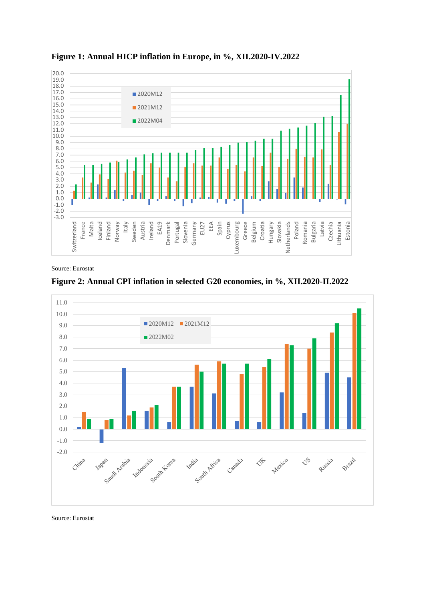

**Figure 1: Annual HICP inflation in Europe, in %, XII.2020-IV.2022**

Source: Eurostat





Source: Eurostat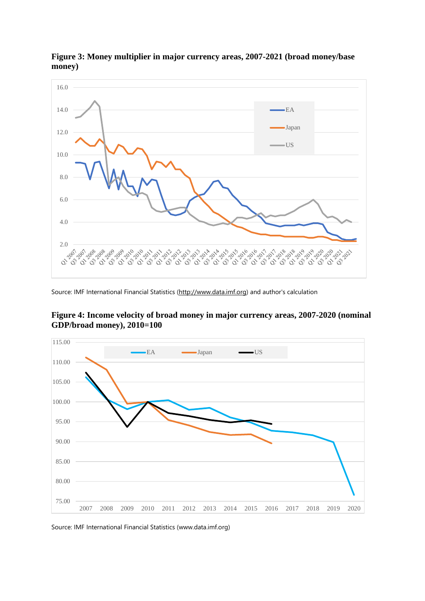

**Figure 3: Money multiplier in major currency areas, 2007-2021 (broad money/base money)**

Source: IMF International Financial Statistics [\(http://www.data.imf.org\)](http://www.data.imf.org/) and author's calculation





Source: IMF International Financial Statistics (www.data.imf.org)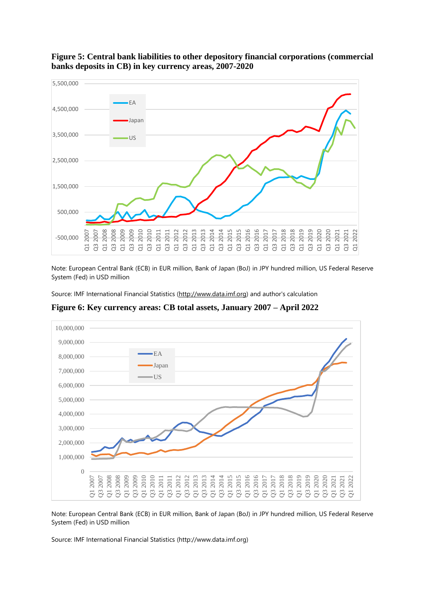

#### **Figure 5: Central bank liabilities to other depository financial corporations (commercial banks deposits in CB) in key currency areas, 2007-2020**

Note: European Central Bank (ECB) in EUR million, Bank of Japan (BoJ) in JPY hundred million, US Federal Reserve System (Fed) in USD million

Source: IMF International Financial Statistics [\(http://www.data.imf.org\)](http://www.data.imf.org/) and author's calculation



**Figure 6: Key currency areas: CB total assets, January 2007 – April 2022**

Note: European Central Bank (ECB) in EUR million, Bank of Japan (BoJ) in JPY hundred million, US Federal Reserve System (Fed) in USD million

Source: IMF International Financial Statistics (http://www.data.imf.org)